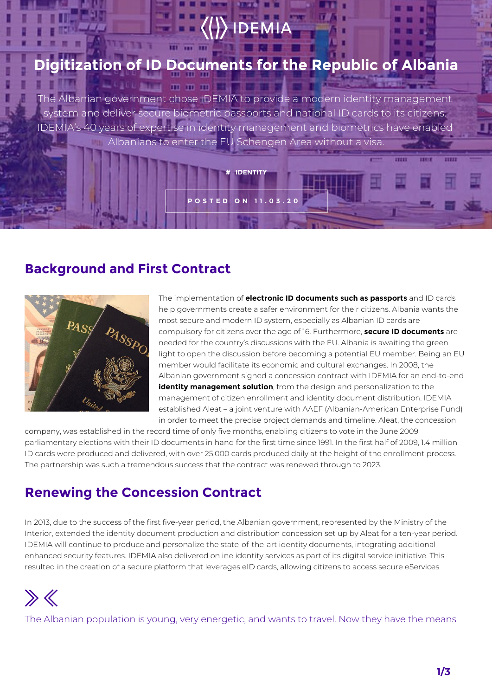## **ization of ID Documents for the Republic of Albania**

mmmml

The Albanian government chose IDEMIA to provide a modern identity management system and deliver secure biometric passports and national ID cards to its citizens. IDEMIA's 40 years of expertise in identity management and biometrics have enabled Albanians to enter the EU Schengen Area without a visa.

**# IDENTITY**

**POSTED ON 11.03.20**

#### **Background and First Contract**



The implementation of **electronic ID documents such as passports** and ID cards help governments create a safer environment for their citizens. Albania wants the most secure and modern ID system, especially as Albanian ID cards are compulsory for citizens over the age of 16. Furthermore, **secure ID documents** are needed for the country's discussions with the EU. Albania is awaiting the green light to open the discussion before becoming a potential EU member. Being an EU member would facilitate its economic and cultural exchanges. In 2008, the Albanian government signed a concession contract with IDEMIA for an end-to-end **identity management solution**, from the design and personalization to the management of citizen enrollment and identity document distribution. IDEMIA established Aleat – a joint venture with AAEF (Albanian-American Enterprise Fund) in order to meet the precise project demands and timeline. Aleat, the concession

company, was established in the record time of only five months, enabling citizens to vote in the June 2009 parliamentary elections with their ID documents in hand for the first time since 1991. In the first half of 2009, 1.4 million ID cards were produced and delivered, with over 25,000 cards produced daily at the height of the enrollment process. The partnership was such a tremendous success that the contract was renewed through to 2023.

#### **Renewing the Concession Contract**

In 2013, due to the success of the first five-year period, the Albanian government, represented by the Ministry of the Interior, extended the identity document production and distribution concession set up by Aleat for a ten-year period. IDEMIA will continue to produce and personalize the state-of-the-art identity documents, integrating additional enhanced security features. IDEMIA also delivered online identity services as part of its digital service initiative. This resulted in the creation of a secure platform that leverages eID cards, allowing citizens to access secure eServices.



The Albanian population is young, very energetic, and wants to travel. Now they have the means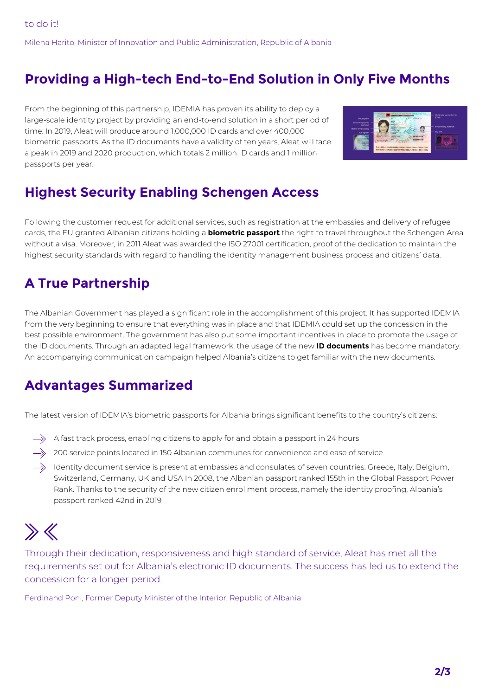Milena Harito, Minister of Innovation and Public Administration, Republic of Albania

#### **Providing a High-tech End-to-End Solution in Only Five Months**

From the beginning of this partnership, IDEMIA has proven its ability to deploy a large-scale identity project by providing an end-to-end solution in a short period of time. In 2019, Aleat will produce around 1,000,000 ID cards and over 400,000 biometric passports. As the ID documents have a validity of ten years, Aleat will face a peak in 2019 and 2020 production, which totals 2 million ID cards and 1 million passports per year.



### **Highest Security Enabling Schengen Access**

Following the customer request for additional services, such as registration at the embassies and delivery of refugee cards, the EU granted Albanian citizens holding a **biometric passport** the right to travel throughout the Schengen Area without a visa. Moreover, in 2011 Aleat was awarded the ISO 27001 certification, proof of the dedication to maintain the highest security standards with regard to handling the identity management business process and citizens' data.

#### **A True Partnership**

The Albanian Government has played a significant role in the accomplishment of this project. It has supported IDEMIA from the very beginning to ensure that everything was in place and that IDEMIA could set up the concession in the best possible environment. The government has also put some important incentives in place to promote the usage of the ID documents. Through an adapted legal framework, the usage of the new **ID documents** has become mandatory. An accompanying communication campaign helped Albania's citizens to get familiar with the new documents.

### **Advantages Summarized**

The latest version of IDEMIA's biometric passports for Albania brings significant benefits to the country's citizens:

- $\rightarrow$  A fast track process, enabling citizens to apply for and obtain a passport in 24 hours
- $\implies$  200 service points located in 150 Albanian communes for convenience and ease of service
- $\rightarrow$  Identity document service is present at embassies and consulates of seven countries: Greece, Italy, Belgium, Switzerland, Germany, UK and USA In 2008, the Albanian passport ranked 155th in the Global Passport Power Rank. Thanks to the security of the new citizen enrollment process, namely the identity proofing, Albania's passport ranked 42nd in 2019

# $\gg K$

Through their dedication, responsiveness and high standard of service, Aleat has met all the requirements set out for Albania's electronic ID documents. The success has led us to extend the concession for a longer period.

Ferdinand Poni, Former Deputy Minister of the Interior, Republic of Albania